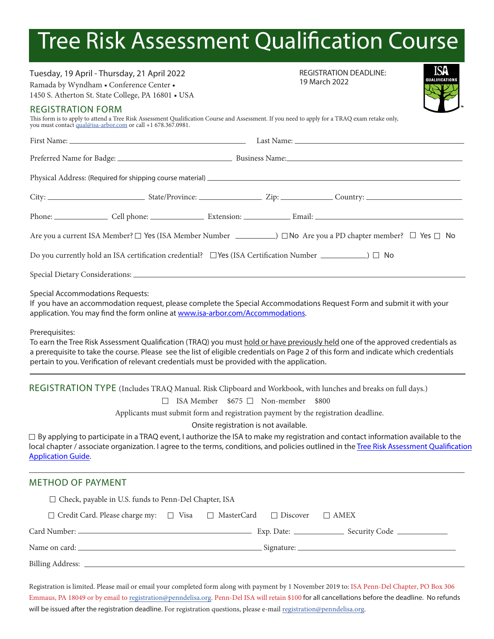## Tree Risk Assessment Qualification Course

| Tuesday, 19 April - Thursday, 21 April 2022<br>Ramada by Wyndham . Conference Center .<br>1450 S. Atherton St. State College, PA 16801 . USA                                                                                                                                                                                                                    | ISA<br><b>REGISTRATION DEADLINE:</b><br>QUALIFICATIONS<br>19 March 2022                                                                                                                                                        |                                                                                                                                                                                                                                                                                                                                                                                         |                                                                                                                                                                                                                                           |
|-----------------------------------------------------------------------------------------------------------------------------------------------------------------------------------------------------------------------------------------------------------------------------------------------------------------------------------------------------------------|--------------------------------------------------------------------------------------------------------------------------------------------------------------------------------------------------------------------------------|-----------------------------------------------------------------------------------------------------------------------------------------------------------------------------------------------------------------------------------------------------------------------------------------------------------------------------------------------------------------------------------------|-------------------------------------------------------------------------------------------------------------------------------------------------------------------------------------------------------------------------------------------|
| <b>REGISTRATION FORM</b>                                                                                                                                                                                                                                                                                                                                        | This form is to apply to attend a Tree Risk Assessment Qualification Course and Assessment. If you need to apply for a TRAQ exam retake only, you must contact $\frac{quad\ddot{o}$ can arbor.com or call +1 678.367.0981.     |                                                                                                                                                                                                                                                                                                                                                                                         |                                                                                                                                                                                                                                           |
|                                                                                                                                                                                                                                                                                                                                                                 |                                                                                                                                                                                                                                |                                                                                                                                                                                                                                                                                                                                                                                         |                                                                                                                                                                                                                                           |
|                                                                                                                                                                                                                                                                                                                                                                 |                                                                                                                                                                                                                                |                                                                                                                                                                                                                                                                                                                                                                                         |                                                                                                                                                                                                                                           |
|                                                                                                                                                                                                                                                                                                                                                                 |                                                                                                                                                                                                                                |                                                                                                                                                                                                                                                                                                                                                                                         |                                                                                                                                                                                                                                           |
|                                                                                                                                                                                                                                                                                                                                                                 | City: City: Current Country: City: Country: Country: Country: Country: Country: Country: Country: Country: Country: Country: Country: Country: Country: Country: Country: Country: Country: Country: Country: Country: Country |                                                                                                                                                                                                                                                                                                                                                                                         |                                                                                                                                                                                                                                           |
|                                                                                                                                                                                                                                                                                                                                                                 |                                                                                                                                                                                                                                |                                                                                                                                                                                                                                                                                                                                                                                         |                                                                                                                                                                                                                                           |
|                                                                                                                                                                                                                                                                                                                                                                 | Are you a current ISA Member? $\square$ Yes (ISA Member Number $\square$ ) $\square$ No Are you a PD chapter member? $\square$ Yes $\square$ No                                                                                |                                                                                                                                                                                                                                                                                                                                                                                         |                                                                                                                                                                                                                                           |
| Do you currently hold an ISA certification credential? □ Yes (ISA Certification Number ____________) □ No<br><b>Special Accommodations Requests:</b><br>If you have an accommodation request, please complete the Special Accommodations Request Form and submit it with your<br>application. You may find the form online at www.isa-arbor.com/Accommodations. |                                                                                                                                                                                                                                |                                                                                                                                                                                                                                                                                                                                                                                         |                                                                                                                                                                                                                                           |
|                                                                                                                                                                                                                                                                                                                                                                 |                                                                                                                                                                                                                                | Prerequisites:<br>To earn the Tree Risk Assessment Qualification (TRAQ) you must hold or have previously held one of the approved credentials as<br>a prerequisite to take the course. Please see the list of eligible credentials on Page 2 of this form and indicate which credentials<br>pertain to you. Verification of relevant credentials must be provided with the application. |                                                                                                                                                                                                                                           |
|                                                                                                                                                                                                                                                                                                                                                                 |                                                                                                                                                                                                                                | $\Box$                                                                                                                                                                                                                                                                                                                                                                                  | REGISTRATION TYPE (Includes TRAQ Manual. Risk Clipboard and Workbook, with lunches and breaks on full days.)<br>ISA Member $$675$ Non-member $$800$<br>Applicants must submit form and registration payment by the registration deadline. |
| Onsite registration is not available.<br>$\Box$ By applying to participate in a TRAQ event, I authorize the ISA to make my registration and contact information available to the<br>local chapter / associate organization. I agree to the terms, conditions, and policies outlined in the Tree Risk Assessment Qualification<br><b>Application Guide.</b>      |                                                                                                                                                                                                                                |                                                                                                                                                                                                                                                                                                                                                                                         |                                                                                                                                                                                                                                           |
| <b>METHOD OF PAYMENT</b>                                                                                                                                                                                                                                                                                                                                        |                                                                                                                                                                                                                                |                                                                                                                                                                                                                                                                                                                                                                                         |                                                                                                                                                                                                                                           |
| □ Check, payable in U.S. funds to Penn-Del Chapter, ISA                                                                                                                                                                                                                                                                                                         |                                                                                                                                                                                                                                |                                                                                                                                                                                                                                                                                                                                                                                         |                                                                                                                                                                                                                                           |
| $\Box$ Credit Card. Please charge my: $\Box$ Visa $\Box$ MasterCard                                                                                                                                                                                                                                                                                             | $\Box$ Discover<br>$\Box$ AMEX                                                                                                                                                                                                 |                                                                                                                                                                                                                                                                                                                                                                                         |                                                                                                                                                                                                                                           |
|                                                                                                                                                                                                                                                                                                                                                                 |                                                                                                                                                                                                                                |                                                                                                                                                                                                                                                                                                                                                                                         |                                                                                                                                                                                                                                           |
|                                                                                                                                                                                                                                                                                                                                                                 |                                                                                                                                                                                                                                |                                                                                                                                                                                                                                                                                                                                                                                         |                                                                                                                                                                                                                                           |
|                                                                                                                                                                                                                                                                                                                                                                 |                                                                                                                                                                                                                                |                                                                                                                                                                                                                                                                                                                                                                                         |                                                                                                                                                                                                                                           |

Registration is limited. Please mail or email your completed form along with payment by 1 November 2019 to: ISA Penn-Del Chapter, PO Box 306 Emmaus, PA 18049 or by email to registration[@penndelisa.org.](mailto:druyak%40penndelisa.org?subject=) Penn-Del ISA will retain \$100 for all cancellations before the deadline. No refunds will be issued after the registration deadline. For registration questions, please e-mail registration[@penndelisa.org.](mailto:druyak%40penndelisa.org?subject=)